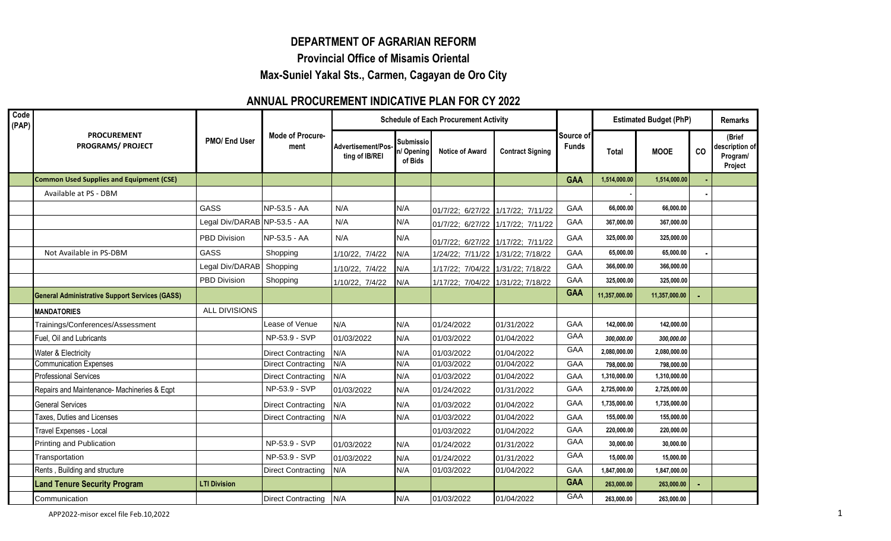## **DEPARTMENT OF AGRARIAN REFORM**

**Provincial Office of Misamis Oriental**

**Max-Suniel Yakal Sts., Carmen, Cagayan de Oro City**

## **ANNUAL PROCUREMENT INDICATIVE PLAN FOR CY 2022**

| Code<br>(PAP) | <b>PROCUREMENT</b><br><b>PROGRAMS/ PROJECT</b>        | PMO/ End User                | <b>Mode of Procure-</b><br>ment | <b>Schedule of Each Procurement Activity</b> |                                          |                                   |                         |                           | <b>Estimated Budget (PhP)</b> |               |    | <b>Remarks</b>                                  |
|---------------|-------------------------------------------------------|------------------------------|---------------------------------|----------------------------------------------|------------------------------------------|-----------------------------------|-------------------------|---------------------------|-------------------------------|---------------|----|-------------------------------------------------|
|               |                                                       |                              |                                 | Advertisement/Pos-<br>ting of IB/REI         | <b>Submissio</b><br>n/Opening<br>of Bids | <b>Notice of Award</b>            | <b>Contract Signing</b> | Source of<br><b>Funds</b> | <b>Total</b>                  | <b>MOOE</b>   | co | (Brief<br>description of<br>Program/<br>Project |
|               | <b>Common Used Supplies and Equipment (CSE)</b>       |                              |                                 |                                              |                                          |                                   |                         | <b>GAA</b>                | 1,514,000.00                  | 1,514,000.00  |    |                                                 |
|               | Available at PS - DBM                                 |                              |                                 |                                              |                                          |                                   |                         |                           |                               |               |    |                                                 |
|               |                                                       | GASS                         | NP-53.5 - AA                    | N/A                                          | N/A                                      | 01/7/22; 6/27/22 1/17/22; 7/11/22 |                         | GAA                       | 66,000.00                     | 66,000.00     |    |                                                 |
|               |                                                       | Legal Div/DARAB NP-53.5 - AA |                                 | N/A                                          | N/A                                      | 01/7/22; 6/27/22 1/17/22; 7/11/22 |                         | GAA                       | 367,000.00                    | 367,000.00    |    |                                                 |
|               |                                                       | PBD Division                 | NP-53.5 - AA                    | N/A                                          | N/A                                      | 01/7/22; 6/27/22 1/17/22; 7/11/22 |                         | GAA                       | 325,000.00                    | 325,000.00    |    |                                                 |
|               | Not Available in PS-DBM                               | GASS                         | Shopping                        | 1/10/22, 7/4/22                              | N/A                                      | 1/24/22; 7/11/22 1/31/22; 7/18/22 |                         | GAA                       | 65.000.00                     | 65,000.00     |    |                                                 |
|               |                                                       | Legal Div/DARAB Shopping     |                                 | 1/10/22, 7/4/22                              | N/A                                      | 1/17/22; 7/04/22 1/31/22; 7/18/22 |                         | GAA                       | 366,000.00                    | 366,000.00    |    |                                                 |
|               |                                                       | <b>PBD Division</b>          | Shopping                        | 1/10/22, 7/4/22                              | N/A                                      | 1/17/22; 7/04/22 1/31/22; 7/18/22 |                         | GAA                       | 325,000.00                    | 325,000.00    |    |                                                 |
|               | <b>General Administrative Support Services (GASS)</b> |                              |                                 |                                              |                                          |                                   |                         | <b>GAA</b>                | 11,357,000.00                 | 11,357,000.00 |    |                                                 |
|               | <b>MANDATORIES</b>                                    | ALL DIVISIONS                |                                 |                                              |                                          |                                   |                         |                           |                               |               |    |                                                 |
|               | Trainings/Conferences/Assessment                      |                              | Lease of Venue                  | N/A                                          | N/A                                      | 01/24/2022                        | 01/31/2022              | <b>GAA</b>                | 142,000.00                    | 142,000.00    |    |                                                 |
|               | Fuel, Oil and Lubricants                              |                              | NP-53.9 - SVP                   | 01/03/2022                                   | N/A                                      | 01/03/2022                        | 01/04/2022              | GAA                       | 300,000.00                    | 300,000.00    |    |                                                 |
|               | Water & Electricity                                   |                              | <b>Direct Contracting</b>       | N/A                                          | N/A                                      | 01/03/2022                        | 01/04/2022              | GAA                       | 2,080,000.00                  | 2,080,000.00  |    |                                                 |
|               | <b>Communication Expenses</b>                         |                              | <b>Direct Contracting</b>       | N/A                                          | N/A                                      | 01/03/2022                        | 01/04/2022              | GAA                       | 798,000.00                    | 798,000.00    |    |                                                 |
|               | <b>Professional Services</b>                          |                              | <b>Direct Contracting</b>       | N/A                                          | N/A                                      | 01/03/2022                        | 01/04/2022              | <b>GAA</b>                | 1,310,000.00                  | 1,310,000.00  |    |                                                 |
|               | Repairs and Maintenance- Machineries & Eqpt           |                              | NP-53.9 - SVP                   | 01/03/2022                                   | N/A                                      | 01/24/2022                        | 01/31/2022              | GAA                       | 2,725,000.00                  | 2,725,000.00  |    |                                                 |
|               | <b>General Services</b>                               |                              | <b>Direct Contracting</b>       | N/A                                          | N/A                                      | 01/03/2022                        | 01/04/2022              | GAA                       | 1,735,000.00                  | 1,735,000.00  |    |                                                 |
|               | Taxes, Duties and Licenses                            |                              | <b>Direct Contracting</b>       | N/A                                          | N/A                                      | 01/03/2022                        | 01/04/2022              | GAA                       | 155,000.00                    | 155,000.00    |    |                                                 |
|               | Travel Expenses - Local                               |                              |                                 |                                              |                                          | 01/03/2022                        | 01/04/2022              | GAA                       | 220,000.00                    | 220,000.00    |    |                                                 |
|               | Printing and Publication                              |                              | NP-53.9 - SVP                   | 01/03/2022                                   | N/A                                      | 01/24/2022                        | 01/31/2022              | <b>GAA</b>                | 30,000.00                     | 30,000.00     |    |                                                 |
|               | Transportation                                        |                              | NP-53.9 - SVP                   | 01/03/2022                                   | N/A                                      | 01/24/2022                        | 01/31/2022              | <b>GAA</b>                | 15,000.00                     | 15,000.00     |    |                                                 |
|               | Rents, Building and structure                         |                              | <b>Direct Contracting</b>       | N/A                                          | N/A                                      | 01/03/2022                        | 01/04/2022              | GAA                       | 1,847,000.00                  | 1,847,000.00  |    |                                                 |
|               | <b>Land Tenure Security Program</b>                   | <b>LTI Division</b>          |                                 |                                              |                                          |                                   |                         | <b>GAA</b>                | 263,000.00                    | 263,000.00    |    |                                                 |
|               | Communication                                         |                              | <b>Direct Contracting</b>       | N/A                                          | N/A                                      | 01/03/2022                        | 01/04/2022              | GAA                       | 263,000.00                    | 263,000.00    |    |                                                 |

APP2022-misor excel file Feb.10,2022 1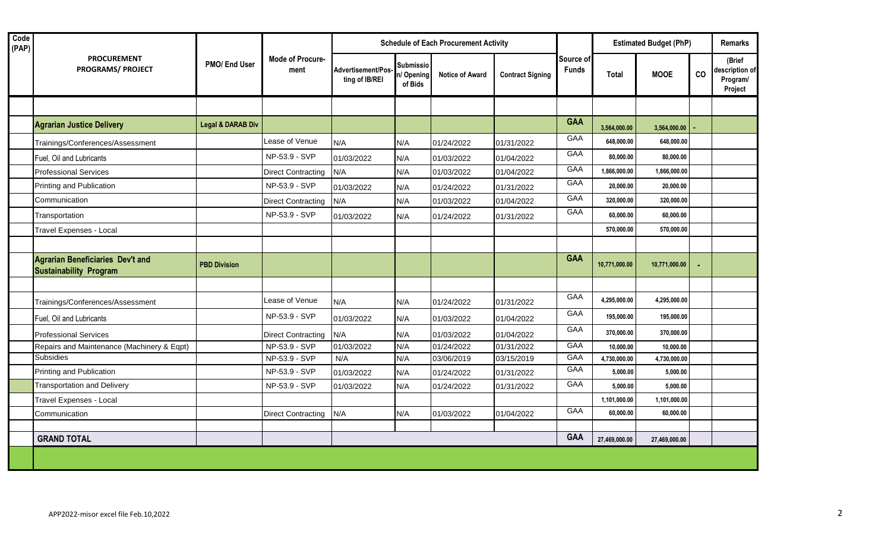| Code<br>(PAP) | <b>PROCUREMENT</b><br><b>PROGRAMS/ PROJECT</b>                           | PMO/ End User                | <b>Mode of Procure-</b><br>ment | <b>Schedule of Each Procurement Activity</b> |                                           |                        |                         |                           | <b>Estimated Budget (PhP)</b> |               |    | <b>Remarks</b>                                  |  |
|---------------|--------------------------------------------------------------------------|------------------------------|---------------------------------|----------------------------------------------|-------------------------------------------|------------------------|-------------------------|---------------------------|-------------------------------|---------------|----|-------------------------------------------------|--|
|               |                                                                          |                              |                                 | Advertisement/Pos-<br>ting of IB/REI         | <b>Submissio</b><br>n/ Opening<br>of Bids | <b>Notice of Award</b> | <b>Contract Signing</b> | Source of<br><b>Funds</b> | <b>Total</b>                  | <b>MOOE</b>   | CO | (Brief<br>description of<br>Program/<br>Project |  |
|               |                                                                          |                              |                                 |                                              |                                           |                        |                         |                           |                               |               |    |                                                 |  |
|               | <b>Agrarian Justice Delivery</b>                                         | <b>Legal &amp; DARAB Div</b> |                                 |                                              |                                           |                        |                         | <b>GAA</b>                | 3,564,000.00                  | 3,564,000.00  |    |                                                 |  |
|               | Trainings/Conferences/Assessment                                         |                              | Lease of Venue                  | N/A                                          | N/A                                       | 01/24/2022             | 01/31/2022              | GAA                       | 648,000.00                    | 648.000.00    |    |                                                 |  |
|               | Fuel, Oil and Lubricants                                                 |                              | NP-53.9 - SVP                   | 01/03/2022                                   | N/A                                       | 01/03/2022             | 01/04/2022              | GAA                       | 80,000.00                     | 80,000.00     |    |                                                 |  |
|               | <b>Professional Services</b>                                             |                              | <b>Direct Contracting</b>       | N/A                                          | N/A                                       | 01/03/2022             | 01/04/2022              | GAA                       | 1,866,000.00                  | 1,866,000.00  |    |                                                 |  |
|               | Printing and Publication                                                 |                              | NP-53.9 - SVP                   | 01/03/2022                                   | N/A                                       | 01/24/2022             | 01/31/2022              | GAA                       | 20,000.00                     | 20,000.00     |    |                                                 |  |
|               | Communication                                                            |                              | <b>Direct Contracting</b>       | N/A                                          | N/A                                       | 01/03/2022             | 01/04/2022              | GAA                       | 320,000.00                    | 320,000.00    |    |                                                 |  |
|               | Transportation                                                           |                              | NP-53.9 - SVP                   | 01/03/2022                                   | N/A                                       | 01/24/2022             | 01/31/2022              | GAA                       | 60,000.00                     | 60,000.00     |    |                                                 |  |
|               | Travel Expenses - Local                                                  |                              |                                 |                                              |                                           |                        |                         |                           | 570,000.00                    | 570,000.00    |    |                                                 |  |
|               |                                                                          |                              |                                 |                                              |                                           |                        |                         |                           |                               |               |    |                                                 |  |
|               | <b>Agrarian Beneficiaries Dev't and</b><br><b>Sustainability Program</b> | <b>PBD Division</b>          |                                 |                                              |                                           |                        |                         | <b>GAA</b>                | 10,771,000.00                 | 10,771,000.00 |    |                                                 |  |
|               |                                                                          |                              |                                 |                                              |                                           |                        |                         |                           |                               |               |    |                                                 |  |
|               | Trainings/Conferences/Assessment                                         |                              | Lease of Venue                  | N/A                                          | N/A                                       | 01/24/2022             | 01/31/2022              | GAA                       | 4,295,000.00                  | 4,295,000.00  |    |                                                 |  |
|               | Fuel, Oil and Lubricants                                                 |                              | NP-53.9 - SVP                   | 01/03/2022                                   | N/A                                       | 01/03/2022             | 01/04/2022              | GAA                       | 195,000.00                    | 195,000.00    |    |                                                 |  |
|               | <b>Professional Services</b>                                             |                              | <b>Direct Contracting</b>       | N/A                                          | N/A                                       | 01/03/2022             | 01/04/2022              | GAA                       | 370,000.00                    | 370,000.00    |    |                                                 |  |
|               | Repairs and Maintenance (Machinery & Eqpt)                               |                              | NP-53.9 - SVP                   | 01/03/2022                                   | N/A                                       | 01/24/2022             | 01/31/2022              | GAA                       | 10,000.00                     | 10,000.00     |    |                                                 |  |
|               | Subsidies                                                                |                              | NP-53.9 - SVP                   | N/A                                          | N/A                                       | 03/06/2019             | 03/15/2019              | GAA                       | 4,730,000.00                  | 4,730,000.00  |    |                                                 |  |
|               | Printing and Publication                                                 |                              | NP-53.9 - SVP                   | 01/03/2022                                   | N/A                                       | 01/24/2022             | 01/31/2022              | GAA                       | 5,000.00                      | 5,000.00      |    |                                                 |  |
|               | <b>Transportation and Delivery</b>                                       |                              | NP-53.9 - SVP                   | 01/03/2022                                   | N/A                                       | 01/24/2022             | 01/31/2022              | GAA                       | 5,000.00                      | 5,000.00      |    |                                                 |  |
|               | Travel Expenses - Local                                                  |                              |                                 |                                              |                                           |                        |                         |                           | 1,101,000.00                  | 1,101,000.00  |    |                                                 |  |
|               | Communication                                                            |                              | <b>Direct Contracting</b>       | N/A                                          | N/A                                       | 01/03/2022             | 01/04/2022              | GAA                       | 60,000.00                     | 60,000.00     |    |                                                 |  |
|               |                                                                          |                              |                                 |                                              |                                           |                        |                         |                           |                               |               |    |                                                 |  |
|               | <b>GRAND TOTAL</b>                                                       |                              |                                 |                                              |                                           |                        |                         | <b>GAA</b>                | 27,469,000.00                 | 27,469,000.00 |    |                                                 |  |
|               |                                                                          |                              |                                 |                                              |                                           |                        |                         |                           |                               |               |    |                                                 |  |